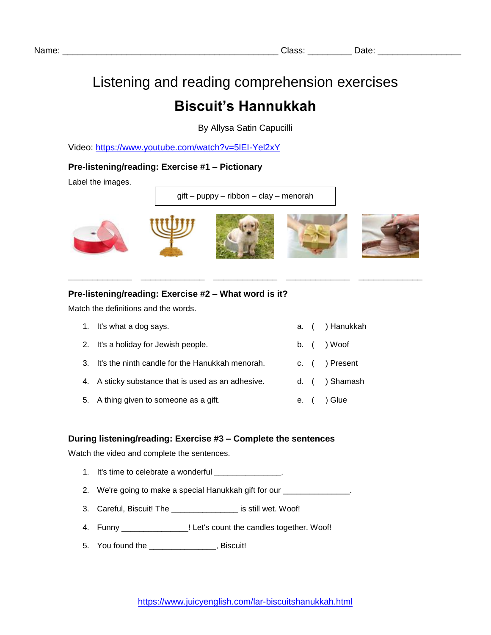# Listening and reading comprehension exercises

# **Biscuit's Hannukkah**

By Allysa Satin Capucilli

Video:<https://www.youtube.com/watch?v=5lEI-Yel2xY>

## **Pre-listening/reading: Exercise #1 – Pictionary**

Label the images.

gift – puppy – ribbon – clay – menorah



\_\_\_\_\_\_\_\_\_\_\_\_\_ \_\_\_\_\_\_\_\_\_\_\_\_\_ \_\_\_\_\_\_\_\_\_\_\_\_\_ \_\_\_\_\_\_\_\_\_\_\_\_\_ \_\_\_\_\_\_\_\_\_\_\_\_\_

### **Pre-listening/reading: Exercise #2 – What word is it?**

Match the definitions and the words.

| 1. It's what a dog says.                           |  | a. ( ) Hanukkah |
|----------------------------------------------------|--|-----------------|
| 2. It's a holiday for Jewish people.               |  | b. ( ) Woof     |
| 3. It's the ninth candle for the Hanukkah menorah. |  | c. ( ) Present  |
| 4. A sticky substance that is used as an adhesive. |  | d. ( ) Shamash  |
| 5. A thing given to someone as a gift.             |  | e. ( ) Glue     |

#### **During listening/reading: Exercise #3 – Complete the sentences**

Watch the video and complete the sentences.

- 1. It's time to celebrate a wonderful \_\_\_\_\_\_\_\_\_\_\_\_\_\_\_.
- 2. We're going to make a special Hanukkah gift for our
- 3. Careful, Biscuit! The \_\_\_\_\_\_\_\_\_\_\_\_\_\_\_ is still wet. Woof!
- 4. Funny \_\_\_\_\_\_\_\_\_\_\_\_\_\_\_\_\_! Let's count the candles together. Woof!
- 5. You found the \_\_\_\_\_\_\_\_\_\_\_\_\_\_\_, Biscuit!